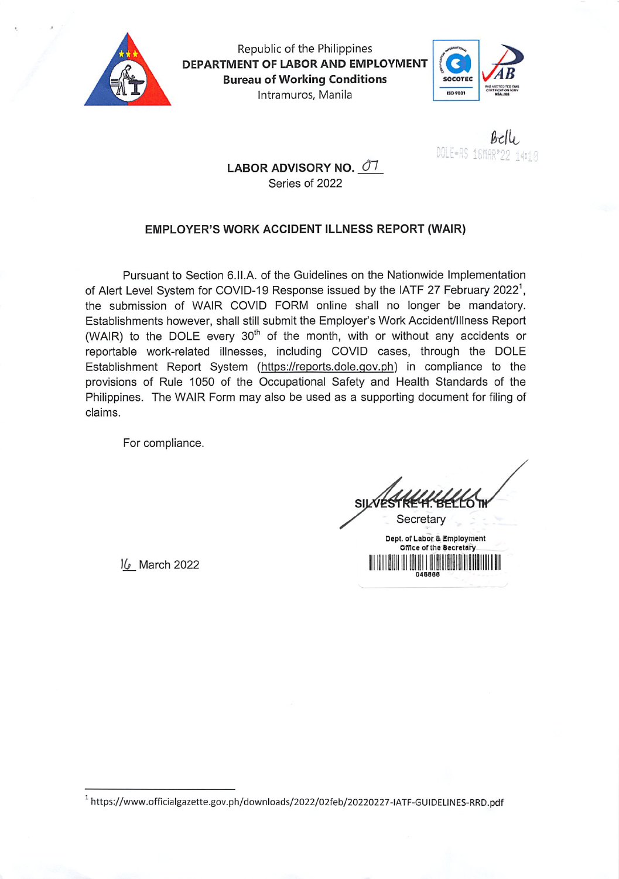

Republic of the Philippines DEPARTMENT OF LABOR AND EMPLOYMENT **Bureau of Working Conditions** Intramuros, Manila



 $Bell$ DOLE=AS 16MAR\*22 1412

## LABOR ADVISORY NO. 07 Series of 2022

## EMPLOYER'S WORK ACCIDENT ILLNESS REPORT (WAIR)

Pursuant to Section 6.II.A. of the Guidelines on the Nationwide Implementation of Alert Level System for COVID-19 Response issued by the IATF 27 February 2022<sup>1</sup>, the submission of WAIR COVID FORM online shall no longer be mandatory. Establishments however, shall still submit the Employer's Work Accident/Illness Report (WAIR) to the DOLE every 30<sup>th</sup> of the month, with or without any accidents or reportable work-related illnesses, including COVID cases, through the DOLE Establishment Report System (https://reports.dole.gov.ph) in compliance to the provisions of Rule 1050 of the Occupational Safety and Health Standards of the Philippines. The WAIR Form may also be used as a supporting document for filing of claims.

For compliance.

16 March 2022

Secretary

Dept. of Labor & Employment Office of the Becretary IIIII

<sup>&</sup>lt;sup>1</sup> https://www.officialgazette.gov.ph/downloads/2022/02feb/20220227-IATF-GUIDELINES-RRD.pdf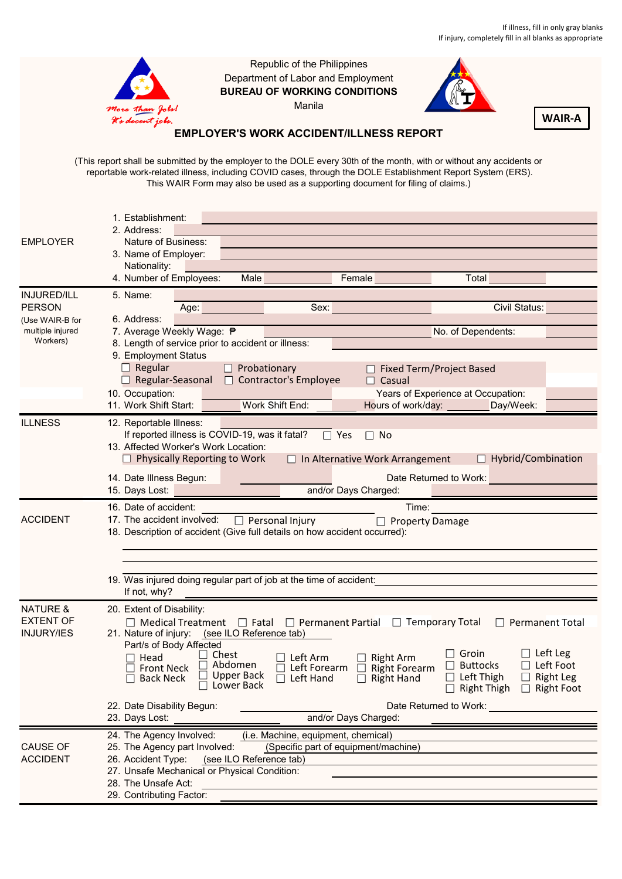

Republic of the Philippines Department of Labor and Employment **BUREAU OF WORKING CONDITIONS** Manila



**WAIR-A**

## **EMPLOYER'S WORK ACCIDENT/ILLNESS REPORT**

(This report shall be submitted by the employer to the DOLE every 30th of the month, with or without any accidents or reportable work-related illness, including COVID cases, through the DOLE Establishment Report System (ERS). This WAIR Form may also be used as a supporting document for filing of claims.)

|                     | 1. Establishment:                                                                                                                                                                                                                                                                  |  |
|---------------------|------------------------------------------------------------------------------------------------------------------------------------------------------------------------------------------------------------------------------------------------------------------------------------|--|
|                     | 2. Address:                                                                                                                                                                                                                                                                        |  |
| <b>EMPLOYER</b>     | Nature of Business:                                                                                                                                                                                                                                                                |  |
|                     | 3. Name of Employer:                                                                                                                                                                                                                                                               |  |
|                     | Nationality:                                                                                                                                                                                                                                                                       |  |
|                     | 4. Number of Employees:<br>Female<br>Total<br>Male                                                                                                                                                                                                                                 |  |
| <b>INJURED/ILL</b>  | 5. Name:                                                                                                                                                                                                                                                                           |  |
| <b>PERSON</b>       | Sex: William Sex: New York 1999<br>Civil Status:<br>Age: the contract of the contract of the contract of the contract of the contract of the contract of the contract of the contract of the contract of the contract of the contract of the contract of the contract of the contr |  |
| (Use WAIR-B for     | 6. Address:                                                                                                                                                                                                                                                                        |  |
| multiple injured    | 7. Average Weekly Wage: ₱<br>No. of Dependents:                                                                                                                                                                                                                                    |  |
| Workers)            | 8. Length of service prior to accident or illness:                                                                                                                                                                                                                                 |  |
|                     | 9. Employment Status                                                                                                                                                                                                                                                               |  |
|                     | $\Box$ Regular<br>$\Box$ Probationary<br>$\Box$ Fixed Term/Project Based                                                                                                                                                                                                           |  |
|                     | $\Box$ Regular-Seasonal $\Box$ Contractor's Employee<br>$\Box$ Casual                                                                                                                                                                                                              |  |
|                     | 10. Occupation:<br>Years of Experience at Occupation:                                                                                                                                                                                                                              |  |
|                     | 11. Work Shift Start:<br>Hours of work/day:<br>Work Shift End:<br>Day/Week:                                                                                                                                                                                                        |  |
| <b>ILLNESS</b>      | 12. Reportable Illness:                                                                                                                                                                                                                                                            |  |
|                     | If reported illness is COVID-19, was it fatal?<br>$\Box$ Yes<br>$\Box$ No                                                                                                                                                                                                          |  |
|                     | 13. Affected Worker's Work Location:                                                                                                                                                                                                                                               |  |
|                     | $\Box$ Hybrid/Combination<br>$\Box$ Physically Reporting to Work<br>$\Box$ In Alternative Work Arrangement                                                                                                                                                                         |  |
|                     |                                                                                                                                                                                                                                                                                    |  |
|                     | 14. Date Illness Begun:<br>Date Returned to Work:                                                                                                                                                                                                                                  |  |
|                     | and/or Days Charged:<br>15. Days Lost:                                                                                                                                                                                                                                             |  |
|                     | 16. Date of accident:<br>Time:                                                                                                                                                                                                                                                     |  |
| <b>ACCIDENT</b>     | 17. The accident involved:<br>$\Box$ Personal Injury<br>$\Box$ Property Damage                                                                                                                                                                                                     |  |
|                     | 18. Description of accident (Give full details on how accident occurred):                                                                                                                                                                                                          |  |
|                     |                                                                                                                                                                                                                                                                                    |  |
|                     |                                                                                                                                                                                                                                                                                    |  |
|                     | 19. Was injured doing regular part of job at the time of accident:                                                                                                                                                                                                                 |  |
|                     | If not, why?                                                                                                                                                                                                                                                                       |  |
|                     |                                                                                                                                                                                                                                                                                    |  |
| <b>NATURE &amp;</b> | 20. Extent of Disability:                                                                                                                                                                                                                                                          |  |
| <b>EXTENT OF</b>    | $\Box$ Medical Treatment $\Box$ Fatal $\Box$ Permanent Partial $\Box$ Temporary Total<br>$\Box$ Permanent Total                                                                                                                                                                    |  |
| <b>INJURY/IES</b>   | 21. Nature of injury: (see ILO Reference tab)                                                                                                                                                                                                                                      |  |
|                     | Part/s of Body Affected<br>$\Box$ Left Leg<br>$\Box$ Groin<br>Chest                                                                                                                                                                                                                |  |
|                     | Head<br>Left Arm<br><b>Right Arm</b><br>$\Box$ Left Foot<br>Abdomen<br>$\Box$ Buttocks<br>$\Box$ Right Forearm<br>$\Box$ Front Neck<br>П<br>Left Forearm                                                                                                                           |  |
|                     | <b>Upper Back</b><br>$\Box$ Left Thigh<br>ப<br><b>Right Leg</b><br>$\Box$ Left Hand<br>$\Box$ Right Hand<br>$\Box$ Back Neck                                                                                                                                                       |  |
|                     | $\Box$ Lower Back<br>$\Box$ Right Thigh $\Box$ Right Foot                                                                                                                                                                                                                          |  |
|                     | 22. Date Disability Begun:<br>Date Returned to Work:                                                                                                                                                                                                                               |  |
|                     | and/or Days Charged:<br>23. Days Lost:                                                                                                                                                                                                                                             |  |
|                     |                                                                                                                                                                                                                                                                                    |  |
|                     | 24. The Agency Involved:<br>(i.e. Machine, equipment, chemical)                                                                                                                                                                                                                    |  |
| <b>CAUSE OF</b>     | (Specific part of equipment/machine)<br>25. The Agency part Involved:                                                                                                                                                                                                              |  |
| <b>ACCIDENT</b>     | 26. Accident Type: (see ILO Reference tab)                                                                                                                                                                                                                                         |  |
|                     | 27. Unsafe Mechanical or Physical Condition:                                                                                                                                                                                                                                       |  |
|                     | 28. The Unsafe Act:                                                                                                                                                                                                                                                                |  |
|                     | 29. Contributing Factor:                                                                                                                                                                                                                                                           |  |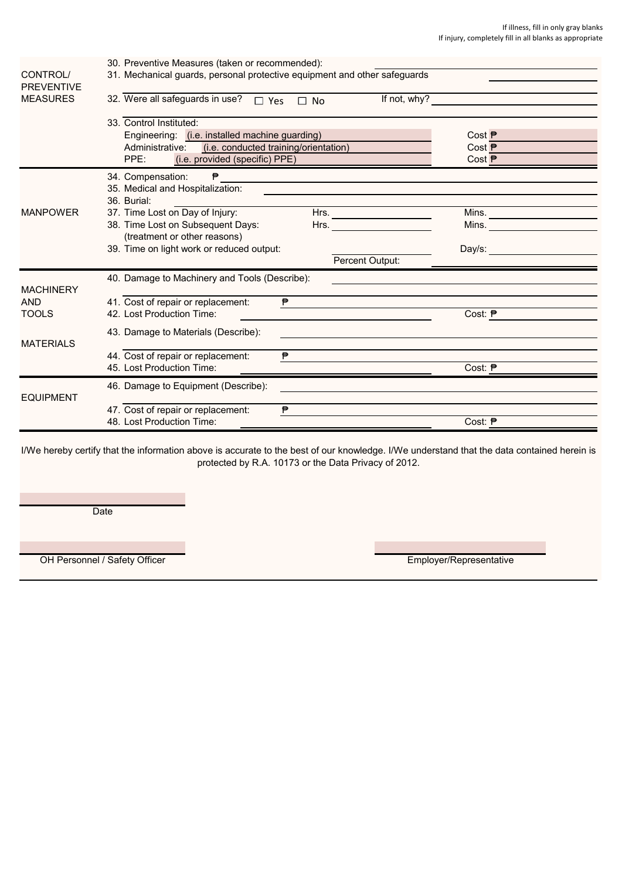|                               | 30. Preventive Measures (taken or recommended):                                                                                                         |                                                                                                                                                                                                                                |
|-------------------------------|---------------------------------------------------------------------------------------------------------------------------------------------------------|--------------------------------------------------------------------------------------------------------------------------------------------------------------------------------------------------------------------------------|
| CONTROL/<br><b>PREVENTIVE</b> | 31. Mechanical guards, personal protective equipment and other safeguards                                                                               |                                                                                                                                                                                                                                |
| <b>MEASURES</b>               | 32. Were all safeguards in use?<br>If not, why?<br>$\square$ Yes<br>$\Box$ No                                                                           |                                                                                                                                                                                                                                |
|                               | 33. Control Instituted:                                                                                                                                 |                                                                                                                                                                                                                                |
|                               | Engineering: (i.e. installed machine guarding)                                                                                                          | Cost <b>₱</b>                                                                                                                                                                                                                  |
|                               | Administrative:<br>(i.e. conducted training/orientation)                                                                                                | Cost <b>₱</b>                                                                                                                                                                                                                  |
|                               | (i.e. provided (specific) PPE)<br>PPE:                                                                                                                  | Cost ₱                                                                                                                                                                                                                         |
|                               | 34. Compensation:<br>₱                                                                                                                                  |                                                                                                                                                                                                                                |
|                               | 35. Medical and Hospitalization:                                                                                                                        |                                                                                                                                                                                                                                |
|                               | 36. Burial:                                                                                                                                             |                                                                                                                                                                                                                                |
| <b>MANPOWER</b>               | 37. Time Lost on Day of Injury:                                                                                                                         |                                                                                                                                                                                                                                |
|                               | 38. Time Lost on Subsequent Days:<br>Hrs. $\qquad \qquad \qquad \qquad$                                                                                 | Mins. ______________________                                                                                                                                                                                                   |
|                               | (treatment or other reasons)                                                                                                                            |                                                                                                                                                                                                                                |
|                               | 39. Time on light work or reduced output:                                                                                                               | Day/s: the contract of the contract of the contract of the contract of the contract of the contract of the contract of the contract of the contract of the contract of the contract of the contract of the contract of the con |
|                               | Percent Output:                                                                                                                                         |                                                                                                                                                                                                                                |
|                               | 40. Damage to Machinery and Tools (Describe):                                                                                                           |                                                                                                                                                                                                                                |
| <b>MACHINERY</b>              |                                                                                                                                                         |                                                                                                                                                                                                                                |
| <b>AND</b>                    | 41. Cost of repair or replacement:<br>₱                                                                                                                 |                                                                                                                                                                                                                                |
| <b>TOOLS</b>                  | 42. Lost Production Time:                                                                                                                               | Cost: <b>₱</b>                                                                                                                                                                                                                 |
|                               | 43. Damage to Materials (Describe):<br>and the control of the control of the control of the control of the control of the control of the control of the |                                                                                                                                                                                                                                |
| <b>MATERIALS</b>              |                                                                                                                                                         |                                                                                                                                                                                                                                |
|                               | 44. Cost of repair or replacement:<br>₱                                                                                                                 |                                                                                                                                                                                                                                |
|                               | 45. Lost Production Time:                                                                                                                               | Cost: $P$                                                                                                                                                                                                                      |
|                               | 46. Damage to Equipment (Describe):                                                                                                                     |                                                                                                                                                                                                                                |
| <b>EQUIPMENT</b>              |                                                                                                                                                         |                                                                                                                                                                                                                                |
|                               | 47. Cost of repair or replacement:<br>₱                                                                                                                 |                                                                                                                                                                                                                                |
|                               | 48. Lost Production Time:                                                                                                                               | Cost: ₱                                                                                                                                                                                                                        |

I/We hereby certify that the information above is accurate to the best of our knowledge. I/We understand that the data contained herein is protected by R.A. 10173 or the Data Privacy of 2012.

**Date** 

OH Personnel / Safety Officer **Employer/Representative** Employer/Representative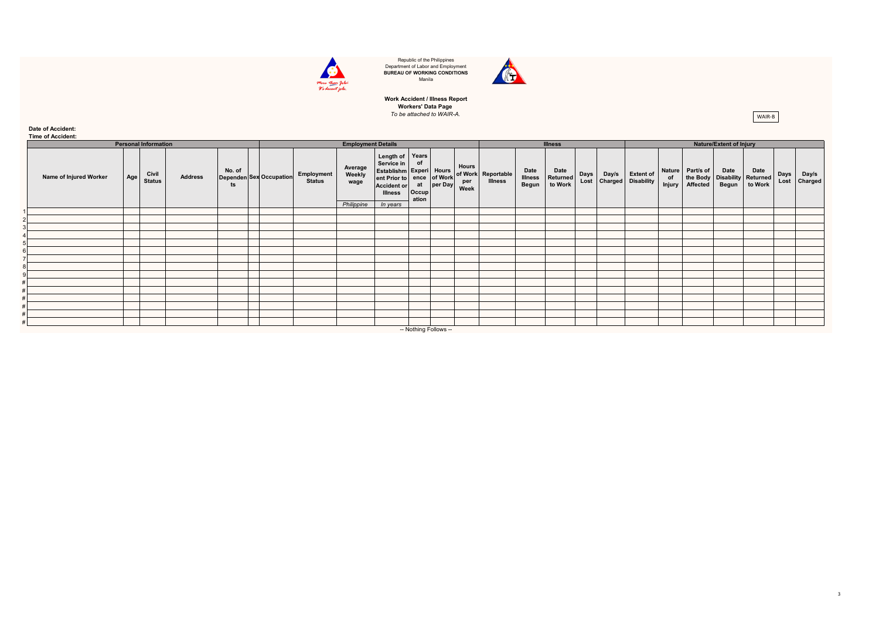

Republic of the Philippines Department of Labor and Employment **BUREAU OF WORKING CONDITIONS** Manila



## **Workers' Data Page**<br>To be attached to WAIR-A. **Work Accident / Illness Report**

**Date of Accident:**

|                                                                                                                             | Time of Accident:           |  |  |  |  |                             |                           |                                                                                                                                      |                            |          |                      |                                      |                                 |                             |             |                                |                                             |              |                              |               |                                                 |              |                  |  |  |
|-----------------------------------------------------------------------------------------------------------------------------|-----------------------------|--|--|--|--|-----------------------------|---------------------------|--------------------------------------------------------------------------------------------------------------------------------------|----------------------------|----------|----------------------|--------------------------------------|---------------------------------|-----------------------------|-------------|--------------------------------|---------------------------------------------|--------------|------------------------------|---------------|-------------------------------------------------|--------------|------------------|--|--|
|                                                                                                                             | <b>Personal Information</b> |  |  |  |  |                             | <b>Employment Details</b> |                                                                                                                                      |                            |          |                      | <b>Illness</b>                       |                                 |                             |             | <b>Nature/Extent of Injury</b> |                                             |              |                              |               |                                                 |              |                  |  |  |
| No. of<br>Civil<br>Name of Injured Worker<br><b>Address</b><br><b>Dependen Sex Occupation</b><br>Age<br><b>Status</b><br>ts |                             |  |  |  |  | Employment<br><b>Status</b> | Average<br>Weekly<br>wage | Length of Years<br>Service in<br><b>Establishm Experi</b> Hours<br>ent Prior to ence of Work<br><b>Accident or</b><br><b>Illness</b> | of<br>at<br>Occup<br>ation | per Day  | Hours<br>per<br>Week | of Work Reportable<br><b>Illness</b> | Date<br><b>Illness</b><br>Begun | Date<br>Returned<br>to Work | <b>Days</b> | Day/s                          | <b>Extent of</b><br>Lost Charged Disability | of<br>Injury | Nature Part/s of<br>Affected | Date<br>Begun | Date<br>the Body Disability Returned<br>to Work | Days<br>Lost | Day/s<br>Charged |  |  |
|                                                                                                                             |                             |  |  |  |  |                             |                           |                                                                                                                                      | Philippine                 | In years |                      |                                      |                                 |                             |             |                                |                                             |              |                              |               |                                                 |              |                  |  |  |
|                                                                                                                             |                             |  |  |  |  |                             |                           |                                                                                                                                      |                            |          |                      |                                      |                                 |                             |             |                                |                                             |              |                              |               |                                                 |              |                  |  |  |
|                                                                                                                             |                             |  |  |  |  |                             |                           |                                                                                                                                      |                            |          |                      |                                      |                                 |                             |             |                                |                                             |              |                              |               |                                                 |              |                  |  |  |
|                                                                                                                             |                             |  |  |  |  |                             |                           |                                                                                                                                      |                            |          |                      |                                      |                                 |                             |             |                                |                                             |              |                              |               |                                                 |              |                  |  |  |
|                                                                                                                             |                             |  |  |  |  |                             |                           |                                                                                                                                      |                            |          |                      |                                      |                                 |                             |             |                                |                                             |              |                              |               |                                                 |              |                  |  |  |
|                                                                                                                             |                             |  |  |  |  |                             |                           |                                                                                                                                      |                            |          |                      |                                      |                                 |                             |             |                                |                                             |              |                              |               |                                                 |              |                  |  |  |
|                                                                                                                             |                             |  |  |  |  |                             |                           |                                                                                                                                      |                            |          |                      |                                      |                                 |                             |             |                                |                                             |              |                              |               |                                                 |              |                  |  |  |
|                                                                                                                             |                             |  |  |  |  |                             |                           |                                                                                                                                      |                            |          |                      |                                      |                                 |                             |             |                                |                                             |              |                              |               |                                                 |              |                  |  |  |
|                                                                                                                             |                             |  |  |  |  |                             |                           |                                                                                                                                      |                            |          |                      |                                      |                                 |                             |             |                                |                                             |              |                              |               |                                                 |              |                  |  |  |
|                                                                                                                             |                             |  |  |  |  |                             |                           |                                                                                                                                      |                            |          |                      |                                      |                                 |                             |             |                                |                                             |              |                              |               |                                                 |              |                  |  |  |
|                                                                                                                             |                             |  |  |  |  |                             |                           |                                                                                                                                      |                            |          |                      |                                      |                                 |                             |             |                                |                                             |              |                              |               |                                                 |              |                  |  |  |
|                                                                                                                             |                             |  |  |  |  |                             |                           |                                                                                                                                      |                            |          |                      |                                      |                                 |                             |             |                                |                                             |              |                              |               |                                                 |              |                  |  |  |
|                                                                                                                             |                             |  |  |  |  |                             |                           |                                                                                                                                      |                            |          |                      |                                      |                                 |                             |             |                                |                                             |              |                              |               |                                                 |              |                  |  |  |
|                                                                                                                             |                             |  |  |  |  |                             |                           |                                                                                                                                      |                            |          |                      |                                      |                                 |                             |             |                                |                                             |              |                              |               |                                                 |              |                  |  |  |
|                                                                                                                             |                             |  |  |  |  |                             |                           |                                                                                                                                      |                            |          |                      |                                      |                                 |                             |             |                                |                                             |              |                              |               |                                                 |              |                  |  |  |
|                                                                                                                             |                             |  |  |  |  |                             |                           |                                                                                                                                      |                            |          |                      |                                      |                                 |                             |             |                                |                                             |              |                              |               |                                                 |              |                  |  |  |

-- Nothing Follows --

WAIR-B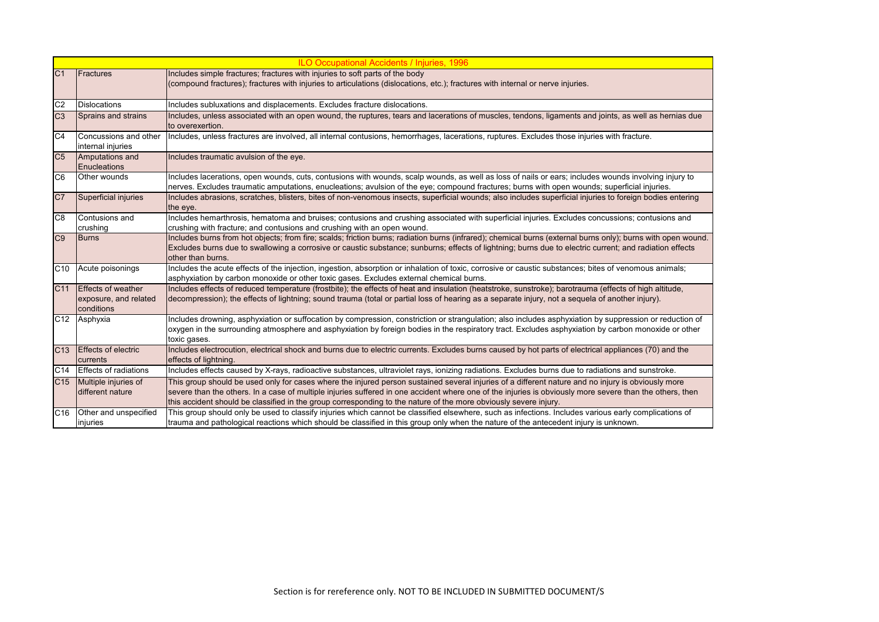|                 |                                                                  | <b>ILO Occupational Accidents / Injuries, 1996</b>                                                                                                                                                                                                                                                                                                                                                                                 |
|-----------------|------------------------------------------------------------------|------------------------------------------------------------------------------------------------------------------------------------------------------------------------------------------------------------------------------------------------------------------------------------------------------------------------------------------------------------------------------------------------------------------------------------|
| C <sub>1</sub>  | <b>Fractures</b>                                                 | Includes simple fractures; fractures with injuries to soft parts of the body<br>(compound fractures); fractures with injuries to articulations (dislocations, etc.); fractures with internal or nerve injuries.                                                                                                                                                                                                                    |
| C <sub>2</sub>  | <b>Dislocations</b>                                              | Includes subluxations and displacements. Excludes fracture dislocations.                                                                                                                                                                                                                                                                                                                                                           |
| C <sub>3</sub>  | Sprains and strains                                              | Includes, unless associated with an open wound, the ruptures, tears and lacerations of muscles, tendons, ligaments and joints, as well as hernias due<br>to overexertion.                                                                                                                                                                                                                                                          |
| C <sub>4</sub>  | Concussions and other<br>internal injuries                       | Includes, unless fractures are involved, all internal contusions, hemorrhages, lacerations, ruptures. Excludes those injuries with fracture.                                                                                                                                                                                                                                                                                       |
| C <sub>5</sub>  | Amputations and<br>Enucleations                                  | Includes traumatic avulsion of the eye.                                                                                                                                                                                                                                                                                                                                                                                            |
| C <sub>6</sub>  | Other wounds                                                     | Includes lacerations, open wounds, cuts, contusions with wounds, scalp wounds, as well as loss of nails or ears; includes wounds involving injury to<br>nerves. Excludes traumatic amputations, enucleations; avulsion of the eye; compound fractures; burns with open wounds; superficial injuries.                                                                                                                               |
| C7              | Superficial injuries                                             | Includes abrasions, scratches, blisters, bites of non-venomous insects, superficial wounds; also includes superficial injuries to foreign bodies entering<br>the eye.                                                                                                                                                                                                                                                              |
| C <sub>8</sub>  | Contusions and<br>crushing                                       | Includes hemarthrosis, hematoma and bruises; contusions and crushing associated with superficial injuries. Excludes concussions; contusions and<br>crushing with fracture; and contusions and crushing with an open wound.                                                                                                                                                                                                         |
| C9              | <b>Burns</b>                                                     | Includes burns from hot objects; from fire; scalds; friction burns; radiation burns (infrared); chemical burns (external burns only); burns with open wound.<br>Excludes burns due to swallowing a corrosive or caustic substance; sunburns; effects of lightning; burns due to electric current; and radiation effects<br>other than burns.                                                                                       |
| C <sub>10</sub> | Acute poisonings                                                 | Includes the acute effects of the injection, ingestion, absorption or inhalation of toxic, corrosive or caustic substances; bites of venomous animals;<br>asphyxiation by carbon monoxide or other toxic gases. Excludes external chemical burns.                                                                                                                                                                                  |
| C <sub>11</sub> | <b>Effects of weather</b><br>exposure, and related<br>conditions | Includes effects of reduced temperature (frostbite); the effects of heat and insulation (heatstroke, sunstroke); barotrauma (effects of high altitude,<br>decompression); the effects of lightning; sound trauma (total or partial loss of hearing as a separate injury, not a sequela of another injury).                                                                                                                         |
|                 | C12 Asphyxia                                                     | Includes drowning, asphyxiation or suffocation by compression, constriction or strangulation; also includes asphyxiation by suppression or reduction of<br>oxygen in the surrounding atmosphere and asphyxiation by foreign bodies in the respiratory tract. Excludes asphyxiation by carbon monoxide or other<br>toxic gases.                                                                                                     |
| C <sub>13</sub> | <b>Effects of electric</b><br>currents                           | Includes electrocution, electrical shock and burns due to electric currents. Excludes burns caused by hot parts of electrical appliances (70) and the<br>effects of lightning.                                                                                                                                                                                                                                                     |
| C <sub>14</sub> | <b>Effects of radiations</b>                                     | Includes effects caused by X-rays, radioactive substances, ultraviolet rays, ionizing radiations. Excludes burns due to radiations and sunstroke.                                                                                                                                                                                                                                                                                  |
| C <sub>15</sub> | Multiple injuries of<br>different nature                         | This group should be used only for cases where the injured person sustained several injuries of a different nature and no injury is obviously more<br>severe than the others. In a case of multiple injuries suffered in one accident where one of the injuries is obviously more severe than the others, then<br>this accident should be classified in the group corresponding to the nature of the more obviously severe injury. |
| C <sub>16</sub> | Other and unspecified<br>injuries                                | This group should only be used to classify injuries which cannot be classified elsewhere, such as infections. Includes various early complications of<br>trauma and pathological reactions which should be classified in this group only when the nature of the antecedent injury is unknown.                                                                                                                                      |